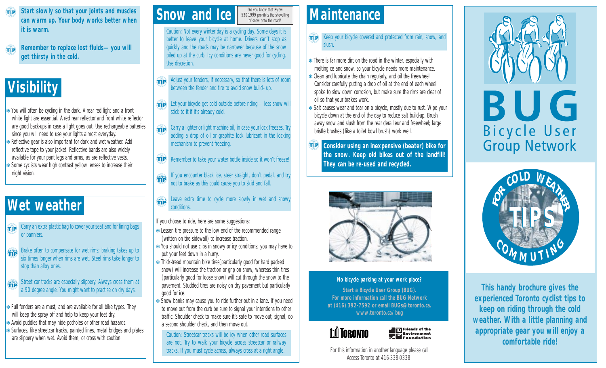- **Start slowly so that your joints and muscles can warm up. Your body works better when it is warm.**
- **Remember to replace lost fluids—you will**  $f(x)$ **get thirsty in the cold.**

### **Visibility**

- ❄ You will often be cycling in the dark. A rear red light and a front white light are essential. A red rear reflector and front white reflector are good back-ups in case a light goes out. Use rechargeable batteries since you will need to use your lights almost everyday.
- ❄ Reflective gear is also important for dark and wet weather. Add reflective tape to your jacket. Reflective bands are also widely available for your pant legs and arms, as are reflective vests.
- ❄ Some cyclists wear high contrast yellow lenses to increase their night vision.

### **Wet weather**

- Carry an extra plastic bag to cover your seat and for lining bags TIP or panniers.
- Brake often to compensate for wet rims; braking takes up to six times longer when rims are wet. Steel rims take longer to stop than alloy ones. **SAFETY**
- Street car tracks are especially slippery. Always cross them at a 90 degree angle. You might want to practise on dry days. **SAFETY**
- ❄ Full fenders are a must, and are available for all bike types. They will keep the spray off and help to keep your feet dry.
- ❄ Avoid puddles that may hide potholes or other road hazards.
- ❄ Surfaces, like streetcar tracks, painted lines, metal bridges and plates are slippery when wet. Avoid them, or cross with caution.

Did you know that Bylaw 530-1999 prohibits the shovelling of snow onto the road?

Caution: Not every winter day is a cycling day. Some days it is better to leave your bicycle at home. Drivers can't stop as quickly and the roads may be narrower because of the snow piled up at the curb. Icy conditions are never good for cycling. Use discretion.

**Snow and Ice**

- Adjust your fenders, if necessary, so that there is lots of room TIP between the fender and tire to avoid snow build–up.
- **TIP** Let your bicycle get cold outside before riding—less snow will stick to it if it's already cold.
- $\widehat{H}$ Carry a lighter or light machine oil, in case your lock freezes. Try adding a drop of oil or graphite lock lubricant in the locking mechanism to prevent freezing.
- TIP Remember to take your water bottle inside so it won't freeze!
- If you encounter black ice, steer straight, don't pedal, and try not to brake as this could cause you to skid and fall. **SAFETY**
- Leave extra time to cycle more slowly in wet and snowy conditions. **SAFETY**

If you choose to ride, here are some suggestions:

- ❄ Lessen tire pressure to the low end of the recommended range (written on tire sidewall) to increase traction.
- ❄ You should not use clips in snowy or icy conditions; you may have to put your feet down in a hurry.
- ❄ Thick-tread mountain bike tires(particularly good for hard packed snow) will increase the traction or grip on snow, whereas thin tires (particularly good for loose snow) will cut through the snow to the pavement. Studded tires are noisy on dry pavement but particularly good for ice.
- ❄ Snow banks may cause you to ride further out in a lane. If you need to move out from the curb be sure to signal your intentions to other traffic. Shoulder check to make sure it's safe to move out, signal, do a second shoulder check, and then move out.

Caution: Streetcar tracks will be icy when other road surfaces are not. Try to walk your bicycle across streetcar or railway tracks. If you must cycle across, always cross at a right angle.

### **Maintenance**

**TIP** Keep your bicycle covered and protected from rain, snow, and slush.

- ❄ There is far more dirt on the road in the winter, especially with melting ce and snow, so your bicycle needs more maintenance.
- ❄ Clean and lubricate the chain regularly, and oil the freewheel. Consider carefully putting a drop of oil at the end of each wheel spoke to slow down corrosion, but make sure the rims are clear of oil so that your brakes work.
- ❄ Salt causes wear and tear on a bicycle, mostly due to rust. Wipe your bicycle down at the end of the day to reduce salt build-up. Brush away snow and slush from the rear derailleur and freewheel; large bristle brushes (like a toilet bowl brush) work well.
- TIP **Consider using an inexpensive (beater) bike for the snow. Keep old bikes out of the landfill! They can be re-used and recycled.**



### **No bicycle parking at your work place?**

**Start a Bicycle User Group (BUG). For more information call the BUG Network at (416) 392-7592 or email BUGs@toronto.ca. www.toronto.ca/bug**



For this information in another language please call Access Toronto at 416-338-0338.

**D** Friends of the<br>Environment<br>Coundation





**This handy brochure gives the experienced Toronto cyclist tips to keep on riding through the cold weather. With a little planning and appropriate gear you will enjoy a comfortable ride!**